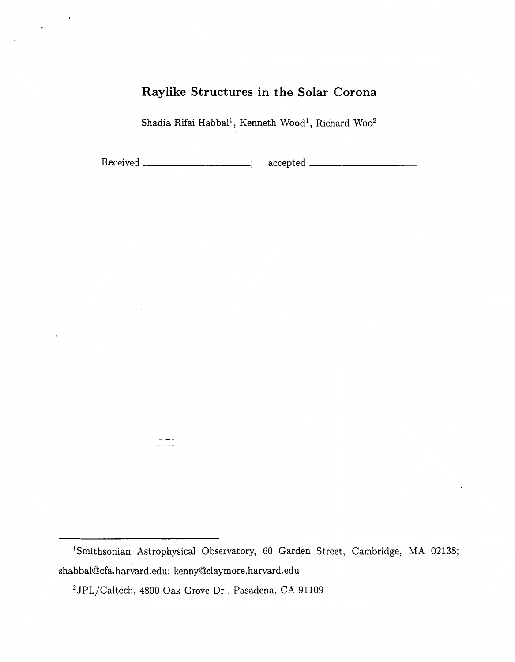# **Raylike Structures in the Solar Corona**

Shadia Rifai Habball, Kenneth Wood', Richard Woo2

Received ; accepted

'Smithsonian Astrophysical Observatory, 60 Garden Street, Cambridge, MA **02138;**  shabbal@cfa.harvard.edu; [kenny@claymore.harvard.edu](mailto:kenny@claymore.harvard.edu)

<sup>2</sup>JPL/Caltech, 4800 Oak Grove Dr., Pasadena, CA 91109

د سالمان<br>معامل ال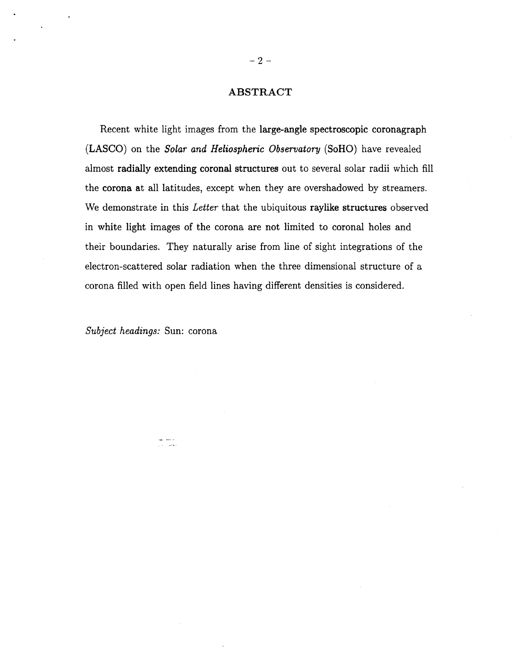## **ABSTRACT**

Recent white light images from the large-angle spectroscopic coronagraph (LASCO) on the *Solar and Heliospheric Observatory* (SoHO) have revealed almost radially extending coronal structures out to several solar radii which fill the corona at all latitudes, except when they are overshadowed by streamers. We demonstrate in this *Letter* that the ubiquitous raylike structures observed in white light images of the corona are not limited to coronal holes and their boundaries. They naturally arise from line of sight integrations of the electron-scattered solar radiation when the three dimensional structure of a corona filled with open field lines having different densities is considered.

*Subject headings:* Sun: corona

لأستاذ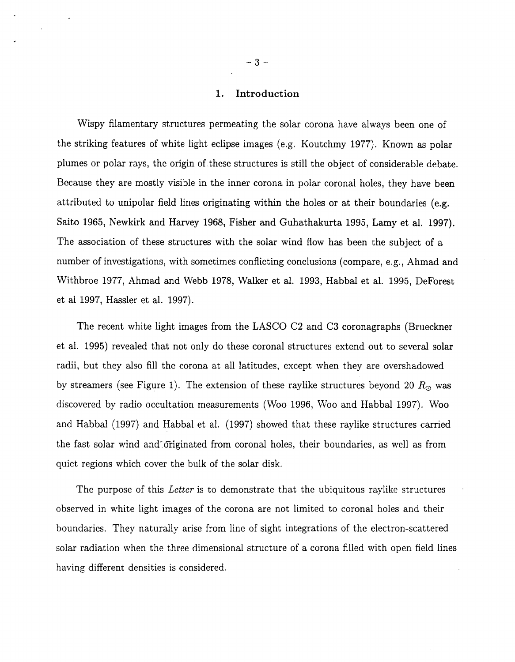## **1. Introduction**

Wispy filamentary structures permeating the solar corona have always been one of the striking features of white light eclipse images (e.g. Koutchmy 1977). Known as polar plumes or polar rays, the origin of.these structures is still the object of considerable debate. Because they are mostly visible in the inner corona in polar coronal holes, they have been attributed to unipolar field lines originating within the holes or at their boundaries (e.g. Saito 1965, Newkirk and Harvey 1968, Fisher and Guhathakurta 1995, Lamy et al. 1997). The association of these structures with the solar wind flow has been the subject of a number of investigations, with sometimes conflicting conclusions (compare, e.g., Ahmad and Withbroe 1977, Ahmad and Webb 1978, Walker et al. 1993, Habbal et al. 1995, DeForest et a1 1997, Hassler et al. 1997).

The recent white light images from the LASCO C2 and **C3** coronagraphs (Brueckner et al. 1995) revealed that not only do these coronal structures extend out to several solar radii, but they also fill the corona at all latitudes, except when they are overshadowed by streamers (see Figure 1). The extension of these raylike structures beyond 20  $R_{\odot}$  was discovered by radio occultation measurements (Woo 1996, Woo and Habbal 1997). Woo and Habbal (1997) and Habbal et al. (1997) showed that these raylike structures carried the fast solar wind and-Criginated from coronal holes, their boundaries, as well as from quiet regions which cover the bulk of the solar disk.

The purpose of this *Letter* is to demonstrate that the ubiquitous raylike structures observed in white light images of the corona are not limited to coronal holes and their boundaries. They naturally arise from line of sight integrations of the electron-scattered solar radiation when the three dimensional structure of a corona filled with open field lines having different densities is considered.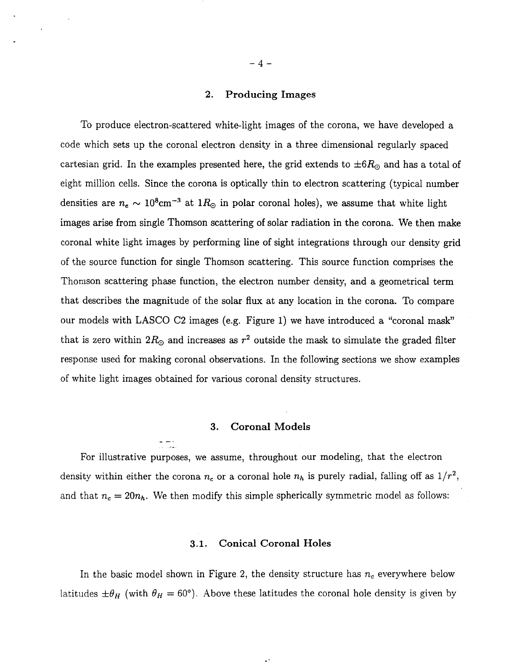## **2. Producing Images**

To produce electron-scattered white-light images of the corona, we have developed a code which sets up the coronal electron density in a three dimensional regularly spaced cartesian grid. In the examples presented here, the grid extends to  $\pm 6R_{\odot}$  and has a total of eight million cells. Since the corona is optically thin to electron scattering (typical number densities are  $n_e \sim 10^8 \text{cm}^{-3}$  at  $1R_\odot$  in polar coronal holes), we assume that white light images arise from single Thomson scattering of solar radiation in the corona. We then make coronal white light images by performing line of sight integrations through our density grid of the source function for single Thomson scattering. This source function comprises the Thomson scattering phase function, the electron number density, and a geometrical term that describes the magnitude of the solar flux at any location in the corona. To compare our models with LASCO **C2** images (e.g. Figure 1) we have introduced a "coronal mask" that is zero within  $2R_{\odot}$  and increases as  $r^2$  outside the mask to simulate the graded filter response used for making coronal observations. In the following sections we show examples of white light images obtained for various coronal density structures.

## **3. Coronal Models**

 $\cdot$   $\overline{\phantom{a}}$  . . .-

For illustrative purposes, we assume, throughout our modeling, that the electron density within either the corona  $n_c$  or a coronal hole  $n_h$  is purely radial, falling off as  $1/r^2$ , and that  $n_c = 20n_h$ . We then modify this simple spherically symmetric model as follows:

#### **3.1. Conical Coronal Holes**

In the basic model shown in Figure 2, the density structure has  $n_c$  everywhere below latitudes  $\pm \theta_H$  (with  $\theta_H = 60^\circ$ ). Above these latitudes the coronal hole density is given by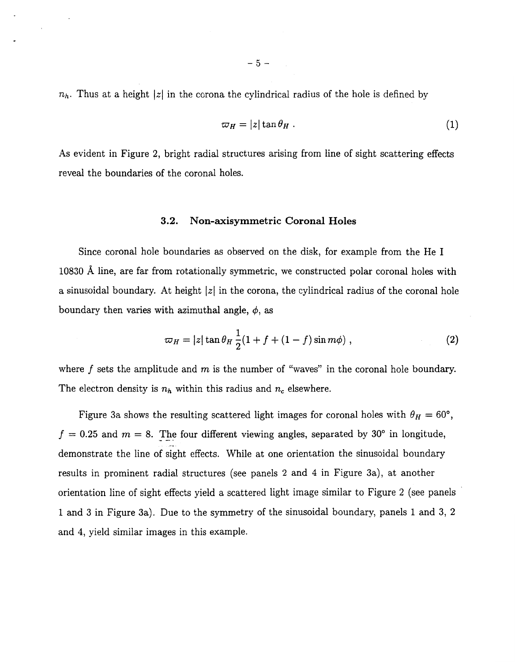$n_h$ . Thus at a height |z| in the corona the cylindrical radius of the hole is defined by

$$
\varpi_H = |z| \tan \theta_H \,. \tag{1}
$$

As evident in Figure **2,** bright radial structures arising from line of sight scattering effects reveal the boundaries of the coronal holes.

#### **3.2. Non-axisymmetric Coronal Holes**

Since coronal hole boundaries as observed on the disk, for example from the He I 10830 Å line, are far from rotationally symmetric, we constructed polar coronal holes with a sinusoidal boundary. At height *IzI* in the corona, the cylindrical radius of the coronal hole boundary then varies with azimuthal angle,  $\phi$ , as

$$
\varpi_H = |z| \tan \theta_H \frac{1}{2} (1 + f + (1 - f) \sin m\phi) , \qquad (2)
$$

where  $f$  sets the amplitude and  $m$  is the number of "waves" in the coronal hole boundary. The electron density is  $n_h$  within this radius and  $n_c$  elsewhere.

Figure 3a shows the resulting scattered light images for coronal holes with  $\theta_H = 60^{\circ}$ ,  $f= 0.25$  and  $m = 8$ . The four different viewing angles, separated by 30° in longitude, demonstrate the line *of* sight effects. While at one orientation the sinusoidal boundary results in prominent radial structures (see panels **2** and **4** in Figure 3a), at another orientation line of sight effects yield a scattered light image similar to Figure 2 (see panels 1 and 3 in Figure 3a). Due to the symmetry of the sinusoidal boundary, panels 1 and 3, **2**  and **4,** yield similar images in this example.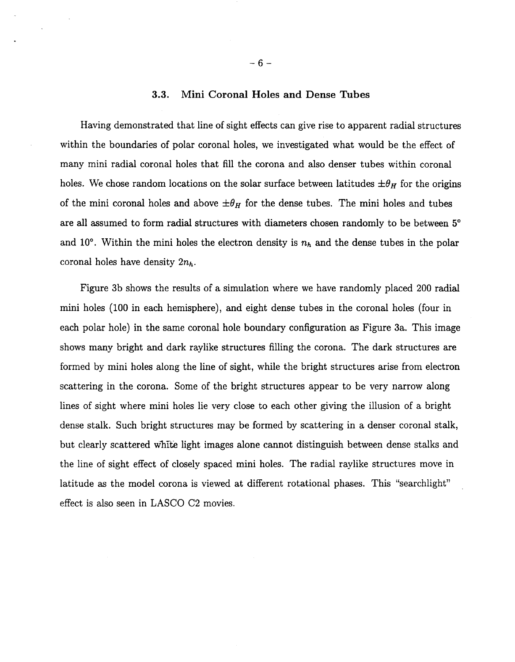#### **3.3. Mini Coronal Holes and Dense Tubes**

Having demonstrated that line of sight effects can give rise to apparent radial structures within the boundaries of polar coronal holes, we investigated what would be the effect of many mini radial coronal holes that fill the corona and also denser tubes within coronal holes. We chose random locations on the solar surface between latitudes  $\pm \theta_H$  for the origins of the mini coronal holes and above  $\pm \theta_H$  for the dense tubes. The mini holes and tubes are all assumed to form radial structures with diameters chosen randomly to be between **5"**  and 10°. Within the mini holes the electron density is  $n_h$  and the dense tubes in the polar coronal holes have density  $2n_h$ .

Figure 3b shows the results of a simulation where we have randomly placed 200 radial mini holes (100 in each hemisphere), and eight dense tubes in the coronal holes (four in each polar hole) in the same coronal hole boundary configuration as Figure 3a. This image shows many bright and dark raylike structures filling the corona. The dark structures are formed by mini holes along the line of sight, while the bright structures arise from electron scattering in the corona. Some of the bright structures appear to be very narrow along lines of sight where mini holes lie very close to each other giving the illusion of a bright dense stalk. Such bright structures may be formed by scattering in a denser coronal stalk, but clearly scattered whrte light images alone cannot distinguish between dense stalks and the line of sight effect of closely spaced mini holes. The radial raylike structures move in latitude as the model corona is viewed at different rotational phases. This "searchlight" effect is also seen in LASCO C2 movies.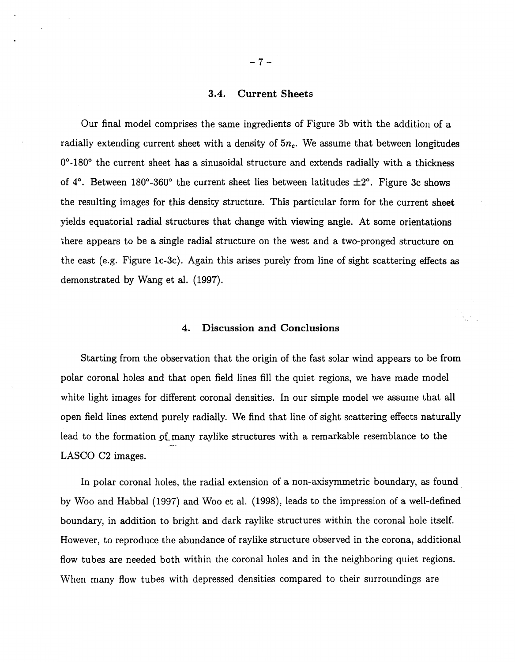#### **3.4.** Current Sheets

Our final model comprises the same ingredients of Figure 3b with the addition of a radially extending current sheet with a density of  $5n_c$ . We assume that between longitudes 0°-180° the current sheet has a sinusoidal structure and extends radially with a thickness of  $4^{\circ}$ . Between 180°-360° the current sheet lies between latitudes  $\pm 2^{\circ}$ . Figure 3c shows the resulting images for this density structure. This particular form for the current sheet yields equatorial radial structures that change with viewing angle. At some orientations there appears to be a single radial structure on the west and a two-pronged structure on the east (e.g. Figure lc-3c). Again this arises purely from line of sight scattering effects as demonstrated by Wang et al. (1997).

## **4.** Discussion and Conclusions

Starting from the observation that the origin of the fast solar wind appears to be from polar coronal holes and that open field lines fill the quiet regions, we have made model white light images for different coronal densities. In our simple model we assume that all open field lines extend purely radially. We find that line of sight scattering effects naturally lead to the formation of many raylike structures with a remarkable resemblance to the LASCO C2 images.

In polar coronal holes, the radial extension of a non-axisymmetric boundary, as found by Woo and Habbal (1997) and Woo et al. (1998), leads to the impression of a well-defined boundary, in addition to bright and dark raylike structures within the coronal hole itself. However, to reproduce the abundance of raylike structure observed in the corona, additional flow tubes are needed both within the coronal holes and in the neighboring quiet regions. When many flow tubes with depressed densities compared to their surroundings are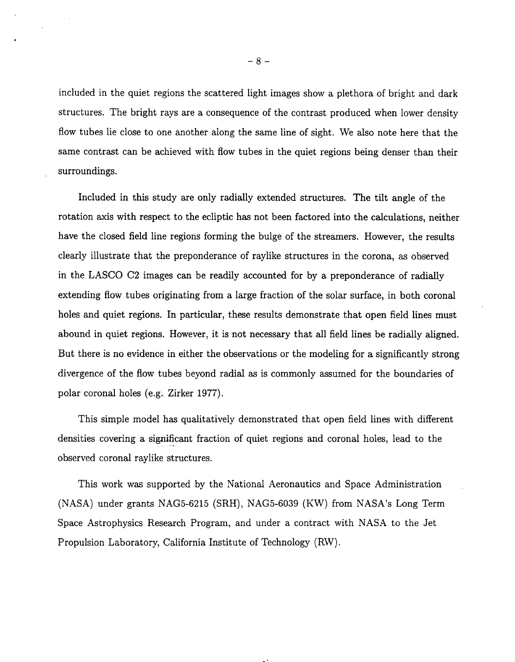included in the quiet regions the scattered light images show a plethora of bright and dark structures. The bright rays are a consequence of the contrast produced when lower density flow tubes lie close to one another along the same line of sight. We also note here that the same contrast can be achieved with flow tubes in the quiet regions being denser than their surroundings.

Included in this study are only radially extended structures. The tilt angle of the rotation axis with respect to the ecliptic has not been factored into the calculations, neither have the closed field line regions forming the bulge of the streamers. However, the results clearly illustrate that the preponderance of raylike structures in the corona, as observed in the LASCO C2 images can be readily accounted for by a preponderance of radially extending flow tubes originating from a large fraction of the solar surface, in both coronal holes and quiet regions. In particular, these results demonstrate that open field lines must abound in quiet regions. However, it is not necessary that all field lines be radially aligned. But there is no evidence in either the observations or the modeling for a significantly strong divergence of the flow tubes beyond radial as is commonly assumed for the boundaries of polar coronal holes (e.g. Zirker 1977).

This simple model has qualitatively demonstrated that open field lines with different densities covering a significant fraction of quiet regions and coronal holes, lead to the observed coronal raylike structures.

This work was supported by the National Aeronautics and Space Administration (NASA) under grants NAG5-6215 (SRH), NAG5-6039 (KW) from NASA's Long Term Space Astrophysics Research Program, and under a contract with NASA to the Jet Propulsion Laboratory, California Institute of Technology (RW).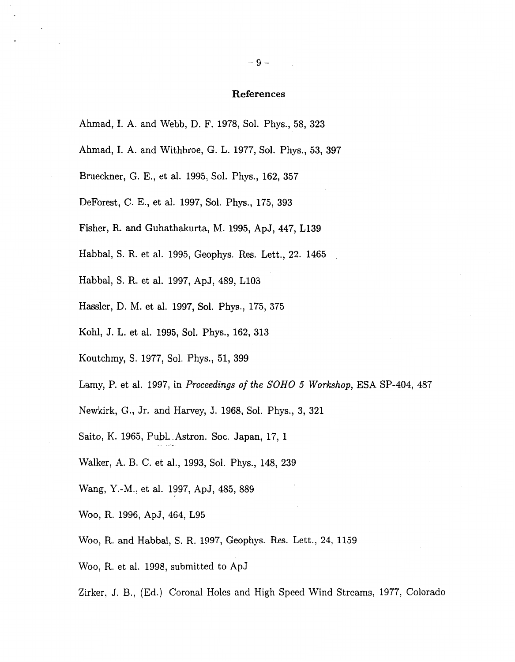#### **References**

- Ahmad, I. A. and Webb, D. F. 1978, Sol. Phys., 58, 323
- Ahmad, I. A. and Withbroe, *G.* L. 1977, Sol. Phys., 53, 397
- Brueckner, *G.* E., et al. 1995, Sol. Phys., 162, 357
- DeForest, C. E., et al. 1997, Sol. Phys., 175, 393
- Fisher, R. and Guhathakurta, M. 1995, ApJ, 447, L139
- Habbal, S. R. et al. 1995, Geophys. Res. Lett., 22. 1465
- Habbal, S. R. et al. 1997, ApJ, 489, L103
- Hassler, D. M. et al. 1997, Sol. Phys., 175, 375
- Kohl, J. L. et al. 1995, Sol. Phys., 162, 313
- Koutchmy, S. 1977, Sol. Phys., 51, 399
- Lamy, P. et al. 1997, in *Proceedings of the SOH0 5 Workshop,* ESA SP-404, 487
- Newkirk, *G.,* Jr. and Harvey, J. 1968, Sol. Phys., 3, 321
- Saito, K. 1965, Publ. Astron. Soc. Japan, 17, 1
- Walker, A. B. C. et al., 1993, Sol. Phys., 148, 239
- Wang, Y.-M., et al. 1997, ApJ, 485, 889
- Woo, R. 1996, ApJ, 464, L95
- Woo, R. and Habbal, S. R. 1997, Geophys. Res. Lett., 24, 1159
- Woo, R. et al. 1998, submitted to ApJ
- Zirker, J. B., (Ed.) Coronal Holes and High Speed Wind Streams, 1977, Colorado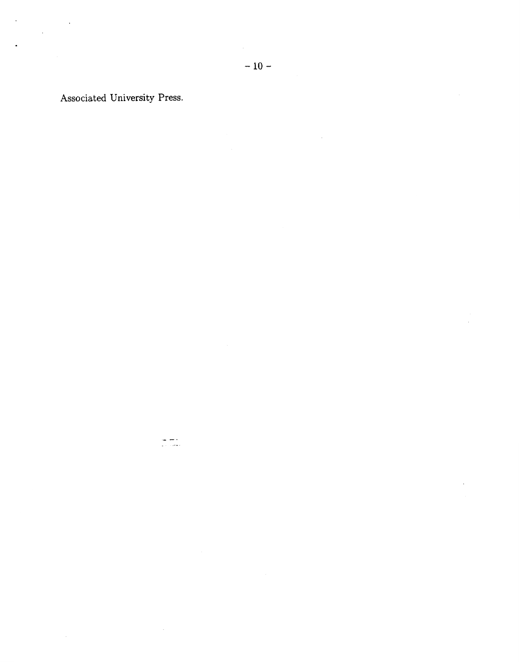Associated University Press.

 $\begin{array}{l} \frac{1}{2} \frac{1}{2} \frac{1}{2} \frac{1}{2} \frac{1}{2} \frac{1}{2} \frac{1}{2} \frac{1}{2} \frac{1}{2} \frac{1}{2} \frac{1}{2} \frac{1}{2} \frac{1}{2} \frac{1}{2} \frac{1}{2} \frac{1}{2} \frac{1}{2} \frac{1}{2} \frac{1}{2} \frac{1}{2} \frac{1}{2} \frac{1}{2} \frac{1}{2} \frac{1}{2} \frac{1}{2} \frac{1}{2} \frac{1}{2} \frac{1}{2} \frac{1}{2} \frac{1}{2} \frac{$ 

 $\bar{\mathcal{A}}$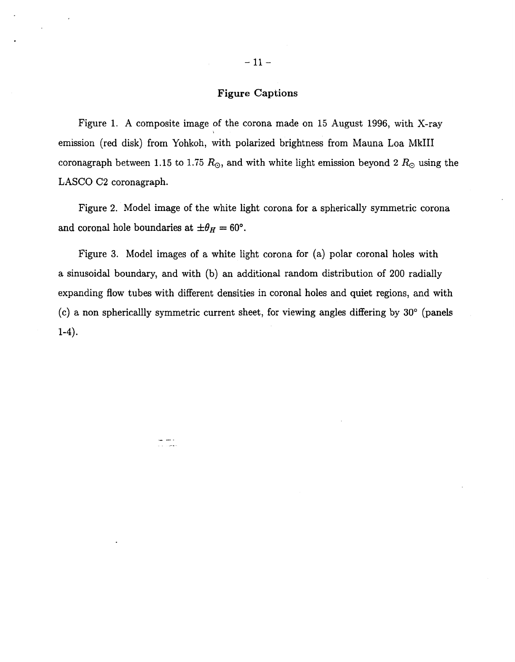## **Figure Captions**

Figure **1.** A composite image of the corona made on **15** August 1996, with X-ray emission (red disk) from Yohkoh, with polarized brightness from Mauna Loa MkIII coronagraph between 1.15 to 1.75  $R_{\odot}$ , and with white light emission beyond 2  $R_{\odot}$  using the LASCO C2 coronagraph.

Figure **2.** Model image of the white light corona for a spherically symmetric corona and coronal hole boundaries at  $\pm \theta_H = 60^\circ$ .

Figure **3.** Model images of a white light corona for (a) polar coronal holes with a sinusoidal boundary, and with (b) an additional random distribution of 200 radially expanding flow tubes with different densities in coronal holes and quiet regions, and with (c) a non sphericallly symmetric current sheet, for viewing angles differing by **30"** (panels **1-4).** 

د ساند.<br>محمد ال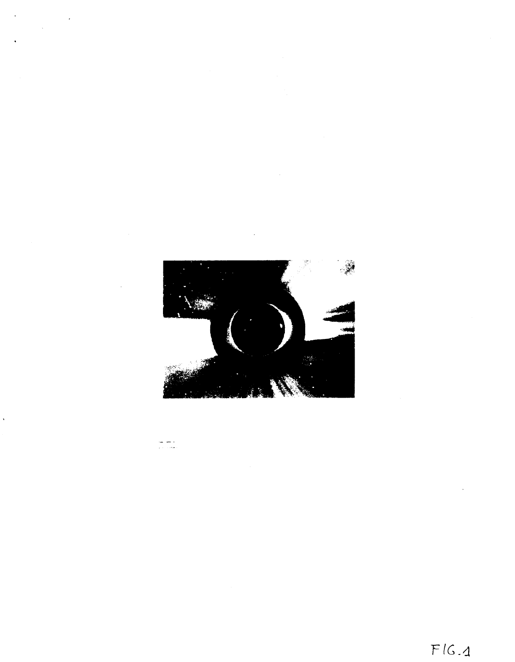

د سر ہے۔<br>حجاب دیا

 $F/G.4$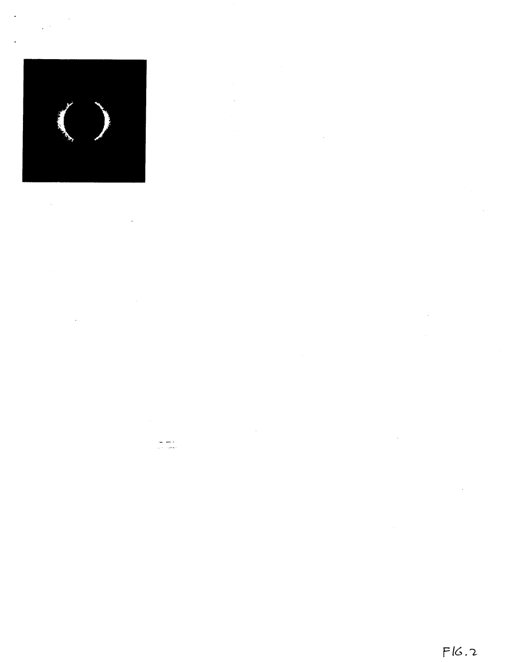$\mathcal{L}^{\text{max}}_{\text{max}}$ 



 $\mathcal{L}(\mathcal{L})$  .  $\bar{\mathcal{A}}$ 

 $\bar{\mathcal{A}}$ 

 $\frac{1}{\sqrt{2}}\frac{1}{\sqrt{2}}\frac{1}{\sqrt{2}}\frac{1}{\sqrt{2}}\frac{1}{\sqrt{2}}\frac{1}{\sqrt{2}}\frac{1}{\sqrt{2}}\frac{1}{\sqrt{2}}\frac{1}{\sqrt{2}}\frac{1}{\sqrt{2}}\frac{1}{\sqrt{2}}\frac{1}{\sqrt{2}}\frac{1}{\sqrt{2}}\frac{1}{\sqrt{2}}\frac{1}{\sqrt{2}}\frac{1}{\sqrt{2}}\frac{1}{\sqrt{2}}\frac{1}{\sqrt{2}}\frac{1}{\sqrt{2}}\frac{1}{\sqrt{2}}\frac{1}{\sqrt{2}}\frac{1}{\sqrt{2}}$ 

 $\hat{\mathcal{A}}$  $\sim$   $\sim$ 

 $\sim 40^{\circ}$ 

 $\lambda$ 

 $\mathcal{A}$